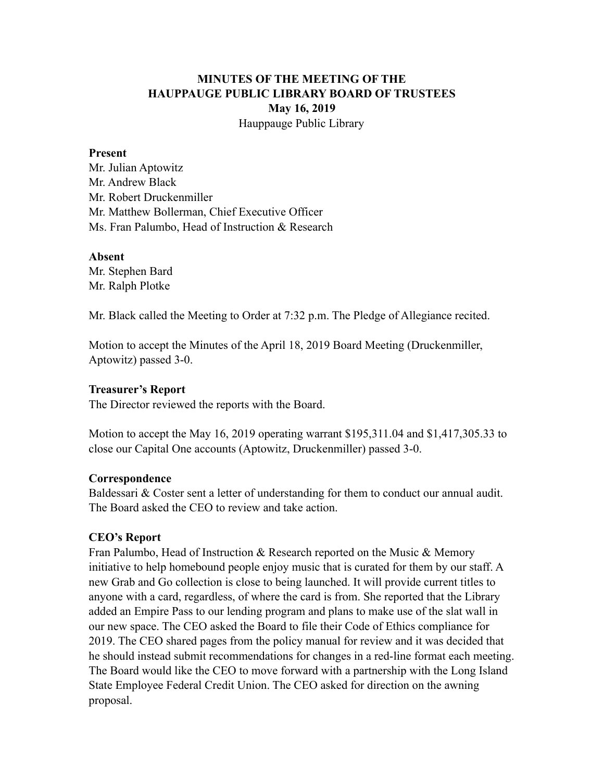## **MINUTES OF THE MEETING OF THE HAUPPAUGE PUBLIC LIBRARY BOARD OF TRUSTEES May 16, 2019** Hauppauge Public Library

#### **Present**

Mr. Julian Aptowitz Mr. Andrew Black Mr. Robert Druckenmiller Mr. Matthew Bollerman, Chief Executive Officer Ms. Fran Palumbo, Head of Instruction & Research

#### **Absent**

Mr. Stephen Bard Mr. Ralph Plotke

Mr. Black called the Meeting to Order at 7:32 p.m. The Pledge of Allegiance recited.

Motion to accept the Minutes of the April 18, 2019 Board Meeting (Druckenmiller, Aptowitz) passed 3-0.

### **Treasurer's Report**

The Director reviewed the reports with the Board.

Motion to accept the May 16, 2019 operating warrant \$195,311.04 and \$1,417,305.33 to close our Capital One accounts (Aptowitz, Druckenmiller) passed 3-0.

### **Correspondence**

Baldessari & Coster sent a letter of understanding for them to conduct our annual audit. The Board asked the CEO to review and take action.

## **CEO's Report**

Fran Palumbo, Head of Instruction & Research reported on the Music & Memory initiative to help homebound people enjoy music that is curated for them by our staff. A new Grab and Go collection is close to being launched. It will provide current titles to anyone with a card, regardless, of where the card is from. She reported that the Library added an Empire Pass to our lending program and plans to make use of the slat wall in our new space. The CEO asked the Board to file their Code of Ethics compliance for 2019. The CEO shared pages from the policy manual for review and it was decided that he should instead submit recommendations for changes in a red-line format each meeting. The Board would like the CEO to move forward with a partnership with the Long Island State Employee Federal Credit Union. The CEO asked for direction on the awning proposal.